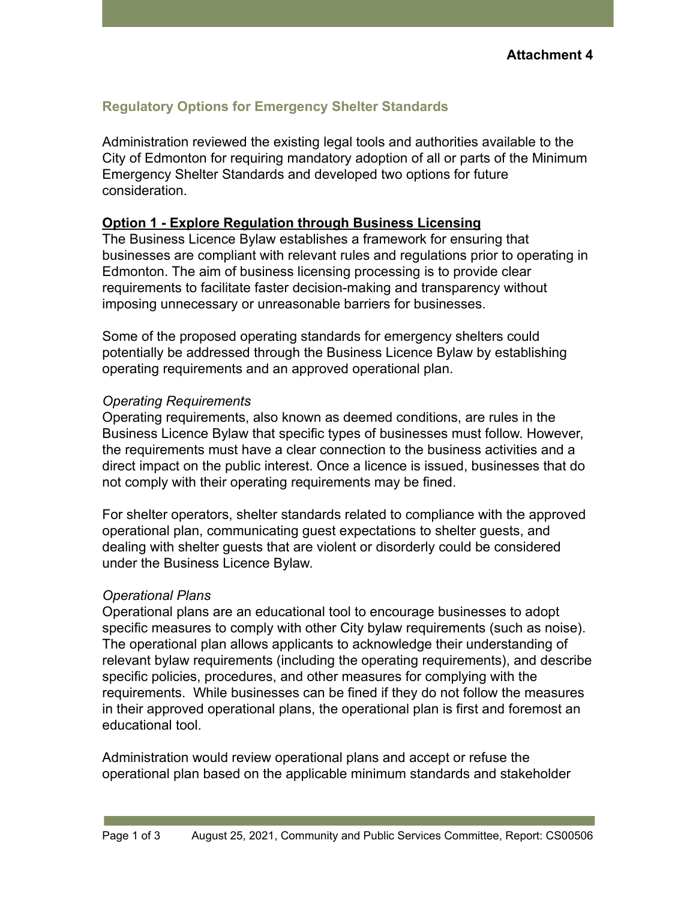# **Regulatory Options for Emergency Shelter Standards**

Administration reviewed the existing legal tools and authorities available to the City of Edmonton for requiring mandatory adoption of all or parts of the Minimum Emergency Shelter Standards and developed two options for future consideration.

#### **Option 1 - Explore Regulation through Business Licensing**

The Business Licence Bylaw establishes a framework for ensuring that businesses are compliant with relevant rules and regulations prior to operating in Edmonton. The aim of business licensing processing is to provide clear requirements to facilitate faster decision-making and transparency without imposing unnecessary or unreasonable barriers for businesses.

Some of the proposed operating standards for emergency shelters could potentially be addressed through the Business Licence Bylaw by establishing operating requirements and an approved operational plan.

### *Operating Requirements*

Operating requirements, also known as deemed conditions, are rules in the Business Licence Bylaw that specific types of businesses must follow. However, the requirements must have a clear connection to the business activities and a direct impact on the public interest. Once a licence is issued, businesses that do not comply with their operating requirements may be fined.

For shelter operators, shelter standards related to compliance with the approved operational plan, communicating guest expectations to shelter guests, and dealing with shelter guests that are violent or disorderly could be considered under the Business Licence Bylaw.

## *Operational Plans*

Operational plans are an educational tool to encourage businesses to adopt specific measures to comply with other City bylaw requirements (such as noise). The operational plan allows applicants to acknowledge their understanding of relevant bylaw requirements (including the operating requirements), and describe specific policies, procedures, and other measures for complying with the requirements. While businesses can be fined if they do not follow the measures in their approved operational plans, the operational plan is first and foremost an educational tool.

Administration would review operational plans and accept or refuse the operational plan based on the applicable minimum standards and stakeholder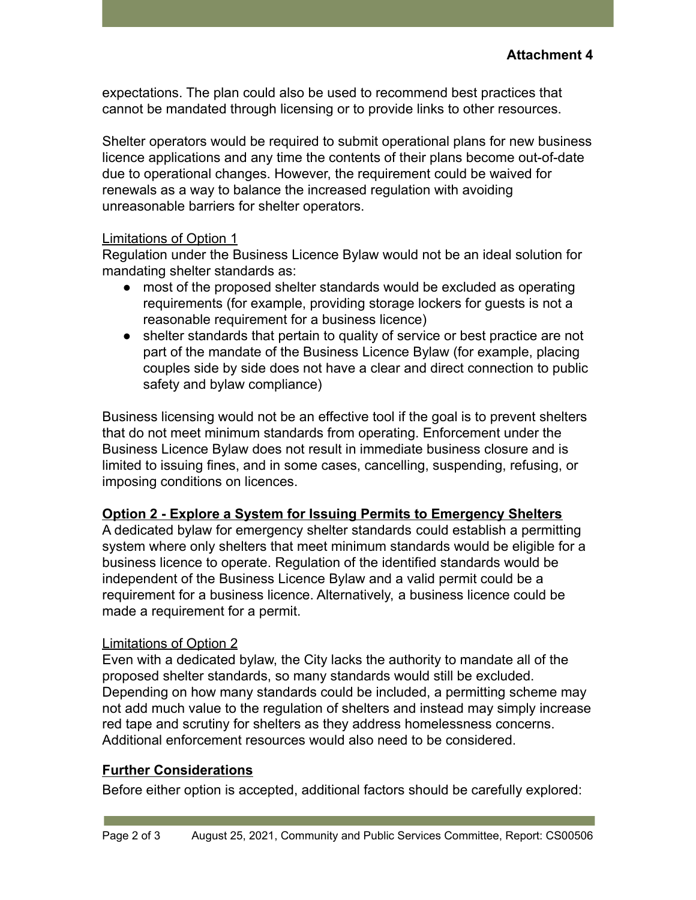expectations. The plan could also be used to recommend best practices that cannot be mandated through licensing or to provide links to other resources.

Shelter operators would be required to submit operational plans for new business licence applications and any time the contents of their plans become out-of-date due to operational changes. However, the requirement could be waived for renewals as a way to balance the increased regulation with avoiding unreasonable barriers for shelter operators.

#### Limitations of Option 1

Regulation under the Business Licence Bylaw would not be an ideal solution for mandating shelter standards as:

- most of the proposed shelter standards would be excluded as operating requirements (for example, providing storage lockers for guests is not a reasonable requirement for a business licence)
- shelter standards that pertain to quality of service or best practice are not part of the mandate of the Business Licence Bylaw (for example, placing couples side by side does not have a clear and direct connection to public safety and bylaw compliance)

Business licensing would not be an effective tool if the goal is to prevent shelters that do not meet minimum standards from operating. Enforcement under the Business Licence Bylaw does not result in immediate business closure and is limited to issuing fines, and in some cases, cancelling, suspending, refusing, or imposing conditions on licences.

#### **Option 2 - Explore a System for Issuing Permits to Emergency Shelters**

A dedicated bylaw for emergency shelter standards could establish a permitting system where only shelters that meet minimum standards would be eligible for a business licence to operate. Regulation of the identified standards would be independent of the Business Licence Bylaw and a valid permit could be a requirement for a business licence. Alternatively, a business licence could be made a requirement for a permit.

## Limitations of Option 2

Even with a dedicated bylaw, the City lacks the authority to mandate all of the proposed shelter standards, so many standards would still be excluded. Depending on how many standards could be included, a permitting scheme may not add much value to the regulation of shelters and instead may simply increase red tape and scrutiny for shelters as they address homelessness concerns. Additional enforcement resources would also need to be considered.

#### **Further Considerations**

Before either option is accepted, additional factors should be carefully explored: